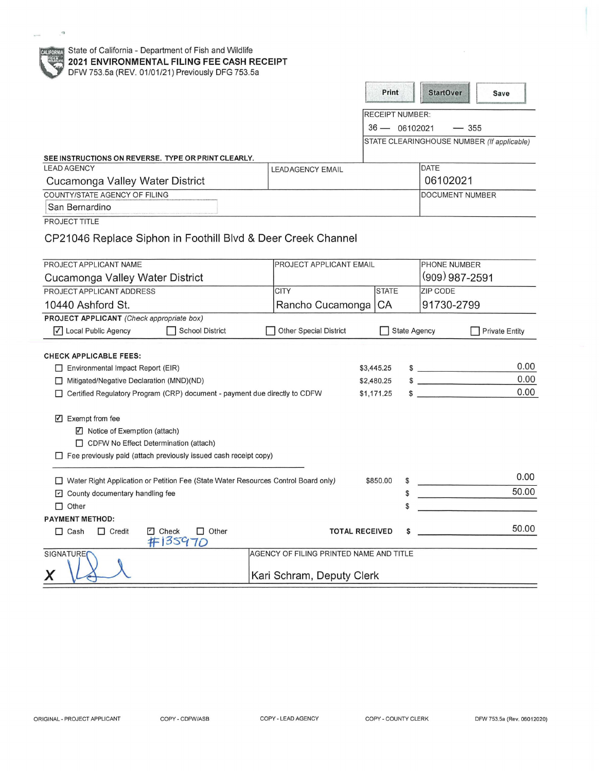| State of California - Department of Fish and Wildlife<br><b>CALIFORNIA</b><br>2021 ENVIRONMENTAL FILING FEE CASH RECEIPT<br>DFW 753.5a (REV. 01/01/21) Previously DFG 753.5a |                                         |            |                        |                                            |
|------------------------------------------------------------------------------------------------------------------------------------------------------------------------------|-----------------------------------------|------------|------------------------|--------------------------------------------|
|                                                                                                                                                                              |                                         |            | Print                  | <b>StartOver</b><br>Save                   |
|                                                                                                                                                                              |                                         |            |                        |                                            |
|                                                                                                                                                                              |                                         |            | <b>RECEIPT NUMBER:</b> |                                            |
|                                                                                                                                                                              |                                         |            | 36 - 06102021          | $-355$                                     |
|                                                                                                                                                                              |                                         |            |                        | STATE CLEARINGHOUSE NUMBER (If applicable) |
| SEE INSTRUCTIONS ON REVERSE. TYPE OR PRINT CLEARLY.                                                                                                                          |                                         |            |                        |                                            |
| <b>LEAD AGENCY</b>                                                                                                                                                           | <b>LEADAGENCY EMAIL</b>                 |            |                        | DATE                                       |
| Cucamonga Valley Water District                                                                                                                                              |                                         |            |                        | 06102021                                   |
| COUNTY/STATE AGENCY OF FILING                                                                                                                                                |                                         |            |                        | DOCUMENT NUMBER                            |
| San Bernardino                                                                                                                                                               |                                         |            |                        |                                            |
| PROJECT TITLE                                                                                                                                                                |                                         |            |                        |                                            |
| CP21046 Replace Siphon in Foothill Blvd & Deer Creek Channel                                                                                                                 |                                         |            |                        |                                            |
|                                                                                                                                                                              |                                         |            |                        |                                            |
| PROJECT APPLICANT NAME                                                                                                                                                       | <b>PROJECT APPLICANT EMAIL</b>          |            |                        | <b>PHONE NUMBER</b>                        |
| Cucamonga Valley Water District                                                                                                                                              |                                         |            |                        | (909) 987-2591                             |
| PROJECT APPLICANT ADDRESS                                                                                                                                                    | <b>CITY</b>                             |            | <b>STATE</b>           | <b>ZIP CODE</b>                            |
| 10440 Ashford St.                                                                                                                                                            |                                         |            | CA                     | 91730-2799                                 |
|                                                                                                                                                                              | Rancho Cucamonga                        |            |                        |                                            |
| PROJECT APPLICANT (Check appropriate box)<br>√ Local Public Agency<br><b>School District</b>                                                                                 | <b>Other Special District</b>           |            | <b>State Agency</b>    |                                            |
|                                                                                                                                                                              |                                         |            |                        | <b>Private Entity</b>                      |
| <b>CHECK APPLICABLE FEES:</b>                                                                                                                                                |                                         |            |                        |                                            |
| Environmental Impact Report (EIR)                                                                                                                                            |                                         | \$3,445.25 |                        | 0.00<br>$\frac{1}{2}$                      |
| Mitigated/Negative Declaration (MND)(ND)                                                                                                                                     |                                         | \$2,480.25 |                        | 0.00                                       |
| Certified Regulatory Program (CRP) document - payment due directly to CDFW                                                                                                   |                                         | \$1,171.25 | \$                     | 0.00                                       |
|                                                                                                                                                                              |                                         |            |                        |                                            |
| $\boxtimes$ Exempt from fee                                                                                                                                                  |                                         |            |                        |                                            |
| ☑ Notice of Exemption (attach)                                                                                                                                               |                                         |            |                        |                                            |
| CDFW No Effect Determination (attach)                                                                                                                                        |                                         |            |                        |                                            |
| $\Box$ Fee previously paid (attach previously issued cash receipt copy)                                                                                                      |                                         |            |                        |                                            |
|                                                                                                                                                                              |                                         |            |                        |                                            |
| □ Water Right Application or Petition Fee (State Water Resources Control Board only)                                                                                         |                                         | \$850.00   | S                      | 0.00                                       |
| $\boxed{7}$ County documentary handling fee                                                                                                                                  |                                         |            |                        | 50.00                                      |
| $\Box$ Other                                                                                                                                                                 |                                         |            | \$                     |                                            |
| <b>PAYMENT METHOD:</b>                                                                                                                                                       |                                         |            |                        |                                            |
| $\Box$ Check<br>$\Box$ Other<br>$\Box$ Cash<br>$\Box$ Credit<br>#135970                                                                                                      | <b>TOTAL RECEIVED</b>                   |            |                        | 50.00                                      |
| SIGNATURE                                                                                                                                                                    | AGENCY OF FILING PRINTED NAME AND TITLE |            |                        |                                            |
|                                                                                                                                                                              |                                         |            |                        |                                            |
|                                                                                                                                                                              | Kari Schram, Deputy Clerk               |            |                        |                                            |

 $\langle \, \Phi \rangle$ 

 $\mu_{\rm{p}}=0$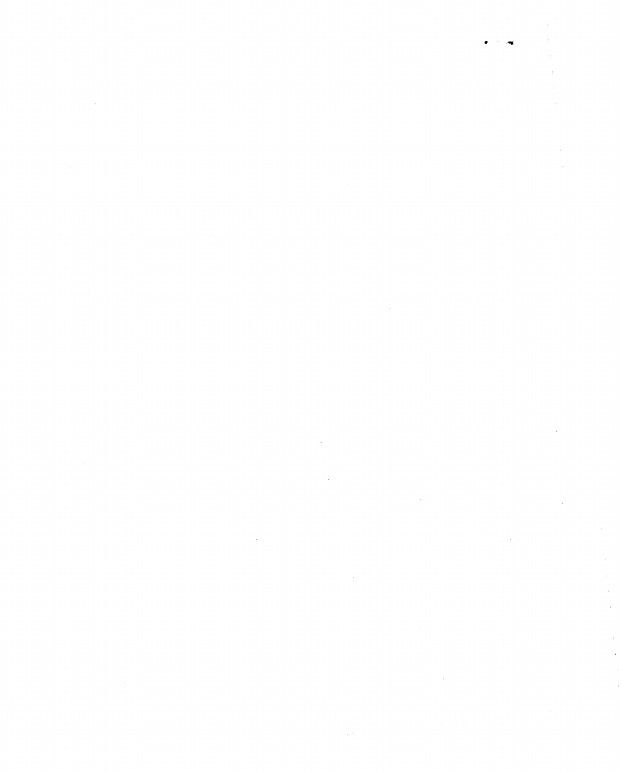$\label{eq:2.1} \mathcal{L}(\mathcal{L}) = \mathcal{L}(\mathcal{L}) \mathcal{L}(\mathcal{L}) = \mathcal{L}(\mathcal{L}) \mathcal{L}(\mathcal{L})$ 

 $\mathcal{L}(\mathcal{L})$  and  $\mathcal{L}(\mathcal{L})$  .

 $\label{eq:2.1} \mathcal{L}(\mathcal{L}^{\mathcal{L}}_{\mathcal{L}}(\mathcal{L}^{\mathcal{L}}_{\mathcal{L}})) \leq \mathcal{L}(\mathcal{L}^{\mathcal{L}}_{\mathcal{L}}(\mathcal{L}^{\mathcal{L}}_{\mathcal{L}})) \leq \mathcal{L}(\mathcal{L}^{\mathcal{L}}_{\mathcal{L}}(\mathcal{L}^{\mathcal{L}}_{\mathcal{L}}))$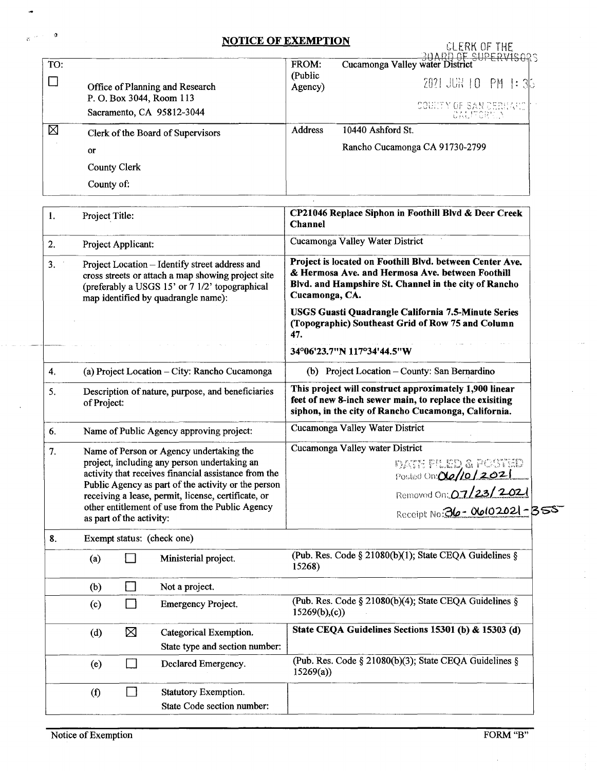## **NOTICE OF EXEMPTION**

|     |                                                       | <b>NOTICE OF EXEMPTION</b>  |                                                                                                            |  |  |
|-----|-------------------------------------------------------|-----------------------------|------------------------------------------------------------------------------------------------------------|--|--|
| TO: | Office of Planning and Research                       | FROM:<br>(Public<br>Agency) | CLERK OF THE<br>Cucamonga Valley water District<br>Cucamonga Valley water District<br>2021 JUN 10 PM 1: 36 |  |  |
|     | P. O. Box 3044, Room 113<br>Sacramento, CA 95812-3044 |                             | COUNTY OF SAN DERINANC<br><b>CALIFORN A</b>                                                                |  |  |
| ⊠   | Clerk of the Board of Supervisors                     | Address                     | 10440 Ashford St.                                                                                          |  |  |
|     | or                                                    |                             | Rancho Cucamonga CA 91730-2799                                                                             |  |  |
|     | <b>County Clerk</b>                                   |                             |                                                                                                            |  |  |
|     | County of:                                            |                             |                                                                                                            |  |  |

| 1. | Project Title:                                                                                                                                                                                                                                                                                                                                |                    |                                                                             | CP21046 Replace Siphon in Foothill Blvd & Deer Creek<br>Channel                                                                                                                                                                                                                                            |  |  |
|----|-----------------------------------------------------------------------------------------------------------------------------------------------------------------------------------------------------------------------------------------------------------------------------------------------------------------------------------------------|--------------------|-----------------------------------------------------------------------------|------------------------------------------------------------------------------------------------------------------------------------------------------------------------------------------------------------------------------------------------------------------------------------------------------------|--|--|
| 2. |                                                                                                                                                                                                                                                                                                                                               | Project Applicant: |                                                                             | Cucamonga Valley Water District                                                                                                                                                                                                                                                                            |  |  |
| 3. | Project Location - Identify street address and<br>cross streets or attach a map showing project site<br>(preferably a USGS 15' or 7 1/2' topographical<br>map identified by quadrangle name):                                                                                                                                                 |                    |                                                                             | Project is located on Foothill Blvd. between Center Ave.<br>& Hermosa Ave. and Hermosa Ave. between Foothill<br>Blvd. and Hampshire St. Channel in the city of Rancho<br>Cucamonga, CA.<br><b>USGS Guasti Quadrangle California 7.5-Minute Series</b><br>(Topographic) Southeast Grid of Row 75 and Column |  |  |
|    |                                                                                                                                                                                                                                                                                                                                               |                    |                                                                             | 47.                                                                                                                                                                                                                                                                                                        |  |  |
|    |                                                                                                                                                                                                                                                                                                                                               |                    |                                                                             | 34°06'23.7"N 117°34'44.5"W                                                                                                                                                                                                                                                                                 |  |  |
| 4. |                                                                                                                                                                                                                                                                                                                                               |                    | (a) Project Location - City: Rancho Cucamonga                               | (b) Project Location - County: San Bernardino                                                                                                                                                                                                                                                              |  |  |
| 5. | Description of nature, purpose, and beneficiaries<br>of Project:                                                                                                                                                                                                                                                                              |                    |                                                                             | This project will construct approximately 1,900 linear<br>feet of new 8-inch sewer main, to replace the exisiting<br>siphon, in the city of Rancho Cucamonga, California.                                                                                                                                  |  |  |
| 6. |                                                                                                                                                                                                                                                                                                                                               |                    | Cucamonga Valley Water District<br>Name of Public Agency approving project: |                                                                                                                                                                                                                                                                                                            |  |  |
| 7. | Name of Person or Agency undertaking the<br>project, including any person undertaking an<br>activity that receives financial assistance from the<br>Public Agency as part of the activity or the person<br>receiving a lease, permit, license, certificate, or<br>other entitlement of use from the Public Agency<br>as part of the activity: |                    |                                                                             | Cucamonga Valley water District<br>DATH PILED & POSTED<br>Posted On: 06/10/2021<br>Removed On: 07/23/2021<br>Receipt No: 36 - 06102021 - 355                                                                                                                                                               |  |  |
| 8. |                                                                                                                                                                                                                                                                                                                                               |                    | Exempt status: (check one)                                                  |                                                                                                                                                                                                                                                                                                            |  |  |
|    | (a)                                                                                                                                                                                                                                                                                                                                           |                    | Ministerial project.                                                        | (Pub. Res. Code § 21080(b)(1); State CEQA Guidelines §<br>15268)                                                                                                                                                                                                                                           |  |  |
|    | (b)                                                                                                                                                                                                                                                                                                                                           | $\vert \ \vert$    | Not a project.                                                              |                                                                                                                                                                                                                                                                                                            |  |  |
|    | (c)                                                                                                                                                                                                                                                                                                                                           |                    | <b>Emergency Project.</b>                                                   | (Pub. Res. Code § 21080(b)(4); State CEQA Guidelines §<br>15269(b),(c))                                                                                                                                                                                                                                    |  |  |
|    | (d)                                                                                                                                                                                                                                                                                                                                           | ⊠                  | Categorical Exemption.<br>State type and section number:                    | State CEQA Guidelines Sections 15301 (b) & 15303 (d)                                                                                                                                                                                                                                                       |  |  |
|    | (e)                                                                                                                                                                                                                                                                                                                                           |                    | Declared Emergency.                                                         | (Pub. Res. Code § 21080(b)(3); State CEQA Guidelines §<br>15269(a)                                                                                                                                                                                                                                         |  |  |
|    | (f)                                                                                                                                                                                                                                                                                                                                           | $\Box$             | Statutory Exemption.<br>State Code section number:                          |                                                                                                                                                                                                                                                                                                            |  |  |

÷

 $\sigma$   $\sim$   $\sim$   $\sigma$ 

 $\hat{\boldsymbol{\gamma}}$ 

Ť,